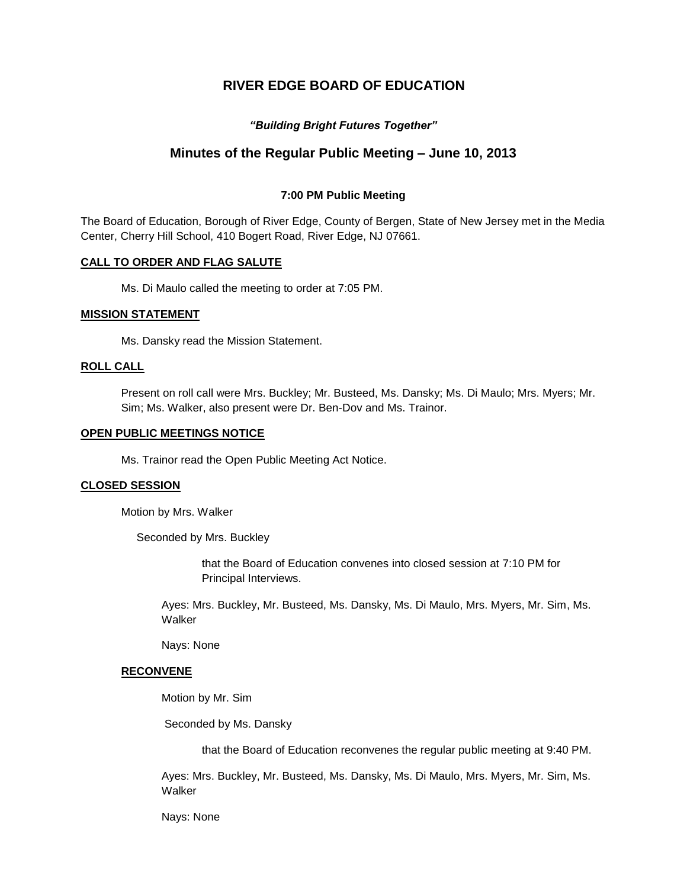# **RIVER EDGE BOARD OF EDUCATION**

# *"Building Bright Futures Together"*

# **Minutes of the Regular Public Meeting – June 10, 2013**

### **7:00 PM Public Meeting**

The Board of Education, Borough of River Edge, County of Bergen, State of New Jersey met in the Media Center, Cherry Hill School, 410 Bogert Road, River Edge, NJ 07661.

### **CALL TO ORDER AND FLAG SALUTE**

Ms. Di Maulo called the meeting to order at 7:05 PM.

### **MISSION STATEMENT**

Ms. Dansky read the Mission Statement.

### **ROLL CALL**

Present on roll call were Mrs. Buckley; Mr. Busteed, Ms. Dansky; Ms. Di Maulo; Mrs. Myers; Mr. Sim; Ms. Walker, also present were Dr. Ben-Dov and Ms. Trainor.

### **OPEN PUBLIC MEETINGS NOTICE**

Ms. Trainor read the Open Public Meeting Act Notice.

#### **CLOSED SESSION**

Motion by Mrs. Walker

Seconded by Mrs. Buckley

that the Board of Education convenes into closed session at 7:10 PM for Principal Interviews.

Ayes: Mrs. Buckley, Mr. Busteed, Ms. Dansky, Ms. Di Maulo, Mrs. Myers, Mr. Sim, Ms. Walker

Nays: None

### **RECONVENE**

Motion by Mr. Sim

Seconded by Ms. Dansky

that the Board of Education reconvenes the regular public meeting at 9:40 PM.

Ayes: Mrs. Buckley, Mr. Busteed, Ms. Dansky, Ms. Di Maulo, Mrs. Myers, Mr. Sim, Ms. Walker

Nays: None